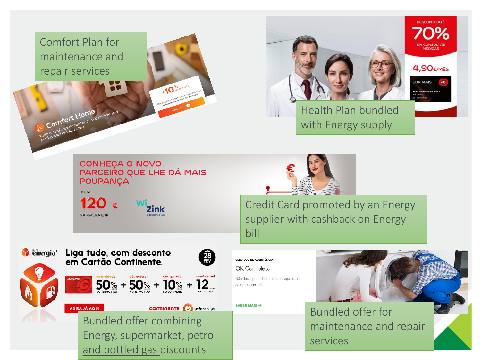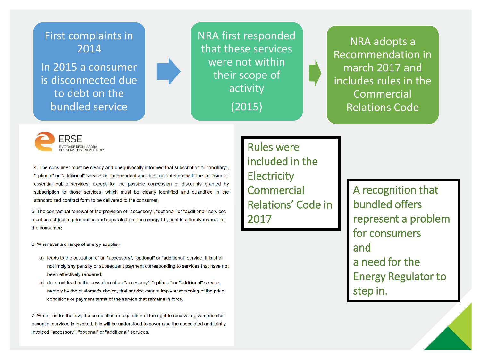



4. The consumer must be clearly and unequivocally informed that subscription to "ancillary", "optional" or "additional" services is independent and does not interfere with the provision of essential public services, except for the possible concession of discounts granted by subscription to those services, which must be clearly identified and quantified in the standardized contract form to be delivered to the consumer;

5. The contractual renewal of the provision of "accessory", "optional" or "additional" services must be subject to prior notice and separate from the energy bill, sent in a timely manner to the consumer:

6. Whenever a change of energy supplier:

- a) leads to the cessation of an "accessory", "optional" or "additional" service, this shall not imply any penalty or subsequent payment corresponding to services that have not been effectively rendered;
- b) does not lead to the cessation of an "accessory", "optional" or "additional" service, namely by the customer's choice, that service cannot imply a worsening of the price, conditions or payment terms of the service that remains in force.

7. When, under the law, the completion or expiration of the right to receive a given price for essential services is invoked, this will be understood to cover also the associated and jointly invoiced "accessory", "optional" or "additional" services.

Rules were included in the **Electricity Commercial** Relations' Code in 2017

A recognition that bundled offers represent a problem for consumers and a need for the Energy Regulator to step in.